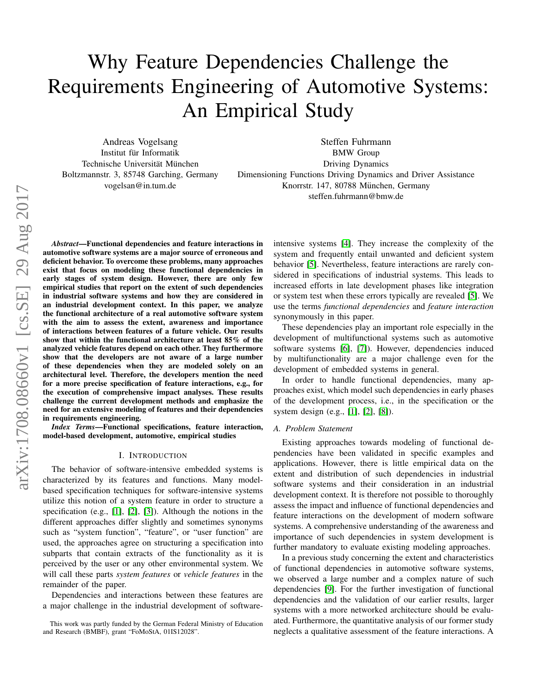# Why Feature Dependencies Challenge the Requirements Engineering of Automotive Systems: An Empirical Study

Andreas Vogelsang Institut für Informatik Technische Universität München Boltzmannstr. 3, 85748 Garching, Germany vogelsan@in.tum.de

Steffen Fuhrmann BMW Group Driving Dynamics Dimensioning Functions Driving Dynamics and Driver Assistance Knorrstr. 147, 80788 München, Germany steffen.fuhrmann@bmw.de

*Abstract*—Functional dependencies and feature interactions in automotive software systems are a major source of erroneous and deficient behavior. To overcome these problems, many approaches exist that focus on modeling these functional dependencies in early stages of system design. However, there are only few empirical studies that report on the extent of such dependencies in industrial software systems and how they are considered in an industrial development context. In this paper, we analyze the functional architecture of a real automotive software system with the aim to assess the extent, awareness and importance of interactions between features of a future vehicle. Our results show that within the functional architecture at least 85% of the analyzed vehicle features depend on each other. They furthermore show that the developers are not aware of a large number of these dependencies when they are modeled solely on an architectural level. Therefore, the developers mention the need for a more precise specification of feature interactions, e.g., for the execution of comprehensive impact analyses. These results challenge the current development methods and emphasize the need for an extensive modeling of features and their dependencies in requirements engineering.

*Index Terms*—Functional specifications, feature interaction, model-based development, automotive, empirical studies

#### I. INTRODUCTION

The behavior of software-intensive embedded systems is characterized by its features and functions. Many modelbased specification techniques for software-intensive systems utilize this notion of a system feature in order to structure a specification (e.g., [\[1\]](#page-5-0), [\[2\]](#page-5-1), [\[3\]](#page-5-2)). Although the notions in the different approaches differ slightly and sometimes synonyms such as "system function", "feature", or "user function" are used, the approaches agree on structuring a specification into subparts that contain extracts of the functionality as it is perceived by the user or any other environmental system. We will call these parts *system features* or *vehicle features* in the remainder of the paper.

Dependencies and interactions between these features are a major challenge in the industrial development of softwareintensive systems [\[4\]](#page-5-3). They increase the complexity of the system and frequently entail unwanted and deficient system behavior [\[5\]](#page-5-4). Nevertheless, feature interactions are rarely considered in specifications of industrial systems. This leads to increased efforts in late development phases like integration or system test when these errors typically are revealed [\[5\]](#page-5-4). We use the terms *functional dependencies* and *feature interaction* synonymously in this paper.

These dependencies play an important role especially in the development of multifunctional systems such as automotive software systems [\[6\]](#page-5-5), [\[7\]](#page-5-6)). However, dependencies induced by multifunctionality are a major challenge even for the development of embedded systems in general.

In order to handle functional dependencies, many approaches exist, which model such dependencies in early phases of the development process, i.e., in the specification or the system design (e.g., [\[1\]](#page-5-0), [\[2\]](#page-5-1), [\[8\]](#page-5-7)).

#### *A. Problem Statement*

Existing approaches towards modeling of functional dependencies have been validated in specific examples and applications. However, there is little empirical data on the extent and distribution of such dependencies in industrial software systems and their consideration in an industrial development context. It is therefore not possible to thoroughly assess the impact and influence of functional dependencies and feature interactions on the development of modern software systems. A comprehensive understanding of the awareness and importance of such dependencies in system development is further mandatory to evaluate existing modeling approaches.

In a previous study concerning the extent and characteristics of functional dependencies in automotive software systems, we observed a large number and a complex nature of such dependencies [\[9\]](#page-5-8). For the further investigation of functional dependencies and the validation of our earlier results, larger systems with a more networked architecture should be evaluated. Furthermore, the quantitative analysis of our former study neglects a qualitative assessment of the feature interactions. A

This work was partly funded by the German Federal Ministry of Education and Research (BMBF), grant "FoMoStA, 01IS12028".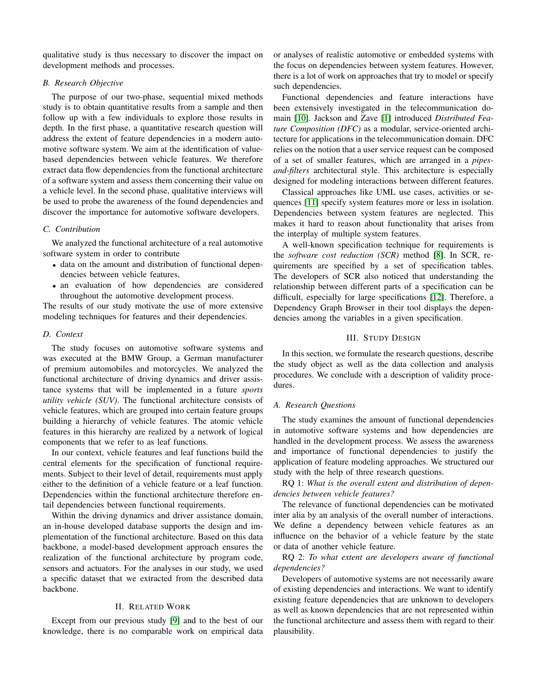qualitative study is thus necessary to discover the impact on development methods and processes.

## *B. Research Objective*

The purpose of our two-phase, sequential mixed methods study is to obtain quantitative results from a sample and then follow up with a few individuals to explore those results in depth. In the first phase, a quantitative research question will address the extent of feature dependencies in a modern automotive software system. We aim at the identification of valuebased dependencies between vehicle features. We therefore extract data flow dependencies from the functional architecture of a software system and assess them concerning their value on a vehicle level. In the second phase, qualitative interviews will be used to probe the awareness of the found dependencies and discover the importance for automotive software developers.

# *C. Contribution*

We analyzed the functional architecture of a real automotive software system in order to contribute

- data on the amount and distribution of functional dependencies between vehicle features,
- an evaluation of how dependencies are considered throughout the automotive development process.

The results of our study motivate the use of more extensive modeling techniques for features and their dependencies.

#### *D. Context*

The study focuses on automotive software systems and was executed at the BMW Group, a German manufacturer of premium automobiles and motorcycles. We analyzed the functional architecture of driving dynamics and driver assistance systems that will be implemented in a future *sports utility vehicle (SUV)*. The functional architecture consists of vehicle features, which are grouped into certain feature groups building a hierarchy of vehicle features. The atomic vehicle features in this hierarchy are realized by a network of logical components that we refer to as leaf functions.

In our context, vehicle features and leaf functions build the central elements for the specification of functional requirements. Subject to their level of detail, requirements must apply either to the definition of a vehicle feature or a leaf function. Dependencies within the functional architecture therefore entail dependencies between functional requirements.

Within the driving dynamics and driver assistance domain, an in-house developed database supports the design and implementation of the functional architecture. Based on this data backbone, a model-based development approach ensures the realization of the functional architecture by program code, sensors and actuators. For the analyses in our study, we used a specific dataset that we extracted from the described data backbone.

## II. RELATED WORK

Except from our previous study [\[9\]](#page-5-8) and to the best of our knowledge, there is no comparable work on empirical data or analyses of realistic automotive or embedded systems with the focus on dependencies between system features. However, there is a lot of work on approaches that try to model or specify such dependencies.

Functional dependencies and feature interactions have been extensively investigated in the telecommunication domain [\[10\]](#page-5-9). Jackson and Zave [\[1\]](#page-5-0) introduced *Distributed Feature Composition (DFC)* as a modular, service-oriented architecture for applications in the telecommunication domain. DFC relies on the notion that a user service request can be composed of a set of smaller features, which are arranged in a *pipesand-filters* architectural style. This architecture is especially designed for modeling interactions between different features.

Classical approaches like UML use cases, activities or sequences [\[11\]](#page-5-10) specify system features more or less in isolation. Dependencies between system features are neglected. This makes it hard to reason about functionality that arises from the interplay of multiple system features.

A well-known specification technique for requirements is the *software cost reduction (SCR)* method [\[8\]](#page-5-7). In SCR, requirements are specified by a set of specification tables. The developers of SCR also noticed that understanding the relationship between different parts of a specification can be difficult, especially for large specifications [\[12\]](#page-5-11). Therefore, a Dependency Graph Browser in their tool displays the dependencies among the variables in a given specification.

#### III. STUDY DESIGN

In this section, we formulate the research questions, describe the study object as well as the data collection and analysis procedures. We conclude with a description of validity procedures.

## *A. Research Questions*

The study examines the amount of functional dependencies in automotive software systems and how dependencies are handled in the development process. We assess the awareness and importance of functional dependencies to justify the application of feature modeling approaches. We structured our study with the help of three research questions.

RQ 1: *What is the overall extent and distribution of dependencies between vehicle features?*

The relevance of functional dependencies can be motivated inter alia by an analysis of the overall number of interactions. We define a dependency between vehicle features as an influence on the behavior of a vehicle feature by the state or data of another vehicle feature.

# RQ 2: *To what extent are developers aware of functional dependencies?*

Developers of automotive systems are not necessarily aware of existing dependencies and interactions. We want to identify existing feature dependencies that are unknown to developers as well as known dependencies that are not represented within the functional architecture and assess them with regard to their plausibility.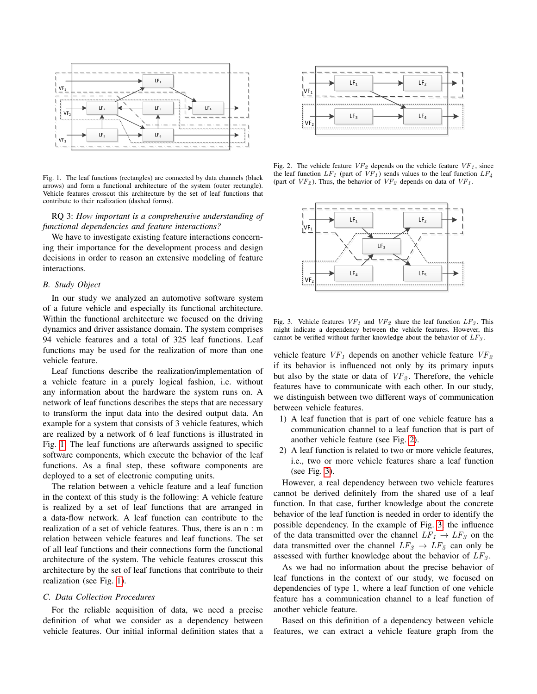

<span id="page-2-0"></span>Fig. 1. The leaf functions (rectangles) are connected by data channels (black arrows) and form a functional architecture of the system (outer rectangle). Vehicle features crosscut this architecture by the set of leaf functions that contribute to their realization (dashed forms).

RQ 3: *How important is a comprehensive understanding of functional dependencies and feature interactions?*

We have to investigate existing feature interactions concerning their importance for the development process and design decisions in order to reason an extensive modeling of feature interactions.

## *B. Study Object*

In our study we analyzed an automotive software system of a future vehicle and especially its functional architecture. Within the functional architecture we focused on the driving dynamics and driver assistance domain. The system comprises 94 vehicle features and a total of 325 leaf functions. Leaf functions may be used for the realization of more than one vehicle feature.

Leaf functions describe the realization/implementation of a vehicle feature in a purely logical fashion, i.e. without any information about the hardware the system runs on. A network of leaf functions describes the steps that are necessary to transform the input data into the desired output data. An example for a system that consists of 3 vehicle features, which are realized by a network of 6 leaf functions is illustrated in Fig. [1.](#page-2-0) The leaf functions are afterwards assigned to specific software components, which execute the behavior of the leaf functions. As a final step, these software components are deployed to a set of electronic computing units.

The relation between a vehicle feature and a leaf function in the context of this study is the following: A vehicle feature is realized by a set of leaf functions that are arranged in a data-flow network. A leaf function can contribute to the realization of a set of vehicle features. Thus, there is an n : m relation between vehicle features and leaf functions. The set of all leaf functions and their connections form the functional architecture of the system. The vehicle features crosscut this architecture by the set of leaf functions that contribute to their realization (see Fig. [1\)](#page-2-0).

#### *C. Data Collection Procedures*

For the reliable acquisition of data, we need a precise definition of what we consider as a dependency between vehicle features. Our initial informal definition states that a



<span id="page-2-1"></span>Fig. 2. The vehicle feature  $VF_2$  depends on the vehicle feature  $VF_1$ , since the leaf function  $LF_1$  (part of  $VF_1$ ) sends values to the leaf function  $LF_4$ (part of  $VF_2$ ). Thus, the behavior of  $VF_2$  depends on data of  $VF_1$ .



<span id="page-2-2"></span>Fig. 3. Vehicle features  $VF_1$  and  $VF_2$  share the leaf function  $LF_3$ . This might indicate a dependency between the vehicle features. However, this cannot be verified without further knowledge about the behavior of  $LF_3$ .

vehicle feature  $VF_1$  depends on another vehicle feature  $VF_2$ if its behavior is influenced not only by its primary inputs but also by the state or data of  $VF_2$ . Therefore, the vehicle features have to communicate with each other. In our study, we distinguish between two different ways of communication between vehicle features.

- 1) A leaf function that is part of one vehicle feature has a communication channel to a leaf function that is part of another vehicle feature (see Fig. [2\)](#page-2-1).
- 2) A leaf function is related to two or more vehicle features, i.e., two or more vehicle features share a leaf function (see Fig. [3\)](#page-2-2).

However, a real dependency between two vehicle features cannot be derived definitely from the shared use of a leaf function. In that case, further knowledge about the concrete behavior of the leaf function is needed in order to identify the possible dependency. In the example of Fig. [3,](#page-2-2) the influence of the data transmitted over the channel  $LF_1 \rightarrow LF_3$  on the data transmitted over the channel  $LF_3 \rightarrow LF_5$  can only be assessed with further knowledge about the behavior of  $LF<sub>3</sub>$ .

As we had no information about the precise behavior of leaf functions in the context of our study, we focused on dependencies of type 1, where a leaf function of one vehicle feature has a communication channel to a leaf function of another vehicle feature.

Based on this definition of a dependency between vehicle features, we can extract a vehicle feature graph from the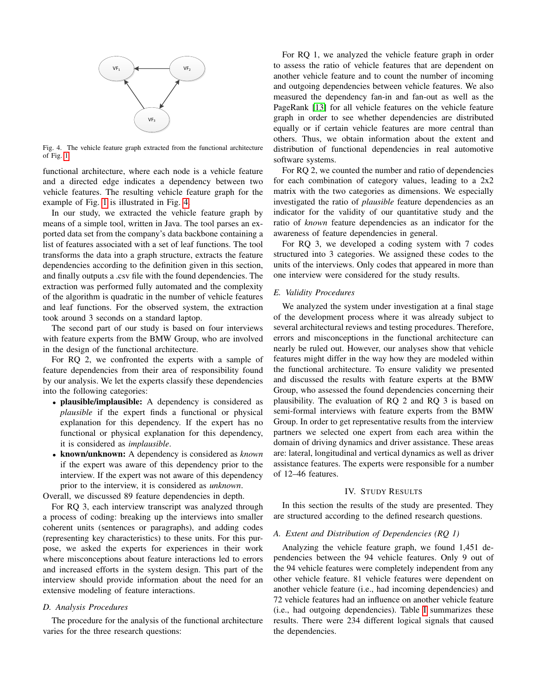

<span id="page-3-0"></span>Fig. 4. The vehicle feature graph extracted from the functional architecture of Fig. [1.](#page-2-0)

functional architecture, where each node is a vehicle feature and a directed edge indicates a dependency between two vehicle features. The resulting vehicle feature graph for the example of Fig. [1](#page-2-0) is illustrated in Fig. [4.](#page-3-0)

In our study, we extracted the vehicle feature graph by means of a simple tool, written in Java. The tool parses an exported data set from the company's data backbone containing a list of features associated with a set of leaf functions. The tool transforms the data into a graph structure, extracts the feature dependencies according to the definition given in this section, and finally outputs a .csv file with the found dependencies. The extraction was performed fully automated and the complexity of the algorithm is quadratic in the number of vehicle features and leaf functions. For the observed system, the extraction took around 3 seconds on a standard laptop.

The second part of our study is based on four interviews with feature experts from the BMW Group, who are involved in the design of the functional architecture.

For RQ 2, we confronted the experts with a sample of feature dependencies from their area of responsibility found by our analysis. We let the experts classify these dependencies into the following categories:

- plausible/implausible: A dependency is considered as *plausible* if the expert finds a functional or physical explanation for this dependency. If the expert has no functional or physical explanation for this dependency, it is considered as *implausible*.
- known/unknown: A dependency is considered as *known* if the expert was aware of this dependency prior to the interview. If the expert was not aware of this dependency prior to the interview, it is considered as *unknown*.

Overall, we discussed 89 feature dependencies in depth.

For RQ 3, each interview transcript was analyzed through a process of coding: breaking up the interviews into smaller coherent units (sentences or paragraphs), and adding codes (representing key characteristics) to these units. For this purpose, we asked the experts for experiences in their work where misconceptions about feature interactions led to errors and increased efforts in the system design. This part of the interview should provide information about the need for an extensive modeling of feature interactions.

## *D. Analysis Procedures*

The procedure for the analysis of the functional architecture varies for the three research questions:

For RQ 1, we analyzed the vehicle feature graph in order to assess the ratio of vehicle features that are dependent on another vehicle feature and to count the number of incoming and outgoing dependencies between vehicle features. We also measured the dependency fan-in and fan-out as well as the PageRank [\[13\]](#page-5-12) for all vehicle features on the vehicle feature graph in order to see whether dependencies are distributed equally or if certain vehicle features are more central than others. Thus, we obtain information about the extent and distribution of functional dependencies in real automotive software systems.

For RQ 2, we counted the number and ratio of dependencies for each combination of category values, leading to a 2x2 matrix with the two categories as dimensions. We especially investigated the ratio of *plausible* feature dependencies as an indicator for the validity of our quantitative study and the ratio of *known* feature dependencies as an indicator for the awareness of feature dependencies in general.

For RQ 3, we developed a coding system with 7 codes structured into 3 categories. We assigned these codes to the units of the interviews. Only codes that appeared in more than one interview were considered for the study results.

#### *E. Validity Procedures*

We analyzed the system under investigation at a final stage of the development process where it was already subject to several architectural reviews and testing procedures. Therefore, errors and misconceptions in the functional architecture can nearly be ruled out. However, our analyses show that vehicle features might differ in the way how they are modeled within the functional architecture. To ensure validity we presented and discussed the results with feature experts at the BMW Group, who assessed the found dependencies concerning their plausibility. The evaluation of RQ 2 and RQ 3 is based on semi-formal interviews with feature experts from the BMW Group. In order to get representative results from the interview partners we selected one expert from each area within the domain of driving dynamics and driver assistance. These areas are: lateral, longitudinal and vertical dynamics as well as driver assistance features. The experts were responsible for a number of 12–46 features.

# IV. STUDY RESULTS

In this section the results of the study are presented. They are structured according to the defined research questions.

# *A. Extent and Distribution of Dependencies (RQ 1)*

Analyzing the vehicle feature graph, we found 1,451 dependencies between the 94 vehicle features. Only 9 out of the 94 vehicle features were completely independent from any other vehicle feature. 81 vehicle features were dependent on another vehicle feature (i.e., had incoming dependencies) and 72 vehicle features had an influence on another vehicle feature (i.e., had outgoing dependencies). Table [I](#page-4-0) summarizes these results. There were 234 different logical signals that caused the dependencies.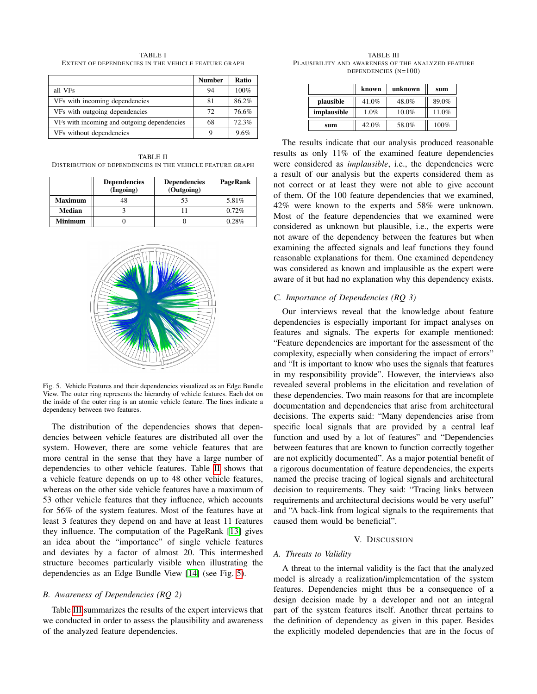TABLE I EXTENT OF DEPENDENCIES IN THE VEHICLE FEATURE GRAPH

<span id="page-4-0"></span>

|                                             | <b>Number</b> | Ratio |
|---------------------------------------------|---------------|-------|
| all VFs                                     | 94            | 100%  |
| VFs with incoming dependencies              | 81            | 86.2% |
| VFs with outgoing dependencies              | 72            | 76.6% |
| VFs with incoming and outgoing dependencies | 68            | 72.3% |
| VFs without dependencies                    | Q             | 9.6%  |

<span id="page-4-1"></span>TABLE II DISTRIBUTION OF DEPENDENCIES IN THE VEHICLE FEATURE GRAPH

|                | <b>Dependencies</b><br>(Ingoing) | <b>Dependencies</b><br>(Outgoing) | PageRank |
|----------------|----------------------------------|-----------------------------------|----------|
| <b>Maximum</b> |                                  | 53                                | 5.81%    |
| Median         |                                  |                                   | 0.72%    |
| Minimum        |                                  |                                   | 0.28%    |



<span id="page-4-2"></span>Fig. 5. Vehicle Features and their dependencies visualized as an Edge Bundle View. The outer ring represents the hierarchy of vehicle features. Each dot on the inside of the outer ring is an atomic vehicle feature. The lines indicate a dependency between two features.

The distribution of the dependencies shows that dependencies between vehicle features are distributed all over the system. However, there are some vehicle features that are more central in the sense that they have a large number of dependencies to other vehicle features. Table [II](#page-4-1) shows that a vehicle feature depends on up to 48 other vehicle features, whereas on the other side vehicle features have a maximum of 53 other vehicle features that they influence, which accounts for 56% of the system features. Most of the features have at least 3 features they depend on and have at least 11 features they influence. The computation of the PageRank [\[13\]](#page-5-12) gives an idea about the "importance" of single vehicle features and deviates by a factor of almost 20. This intermeshed structure becomes particularly visible when illustrating the dependencies as an Edge Bundle View [\[14\]](#page-5-13) (see Fig. [5\)](#page-4-2).

## *B. Awareness of Dependencies (RQ 2)*

Table [III](#page-4-3) summarizes the results of the expert interviews that we conducted in order to assess the plausibility and awareness of the analyzed feature dependencies.

<span id="page-4-3"></span>TABLE III PLAUSIBILITY AND AWARENESS OF THE ANALYZED FEATURE DEPENDENCIES (N=100)

|             | known | unknown | sum   |
|-------------|-------|---------|-------|
| plausible   | 41.0% | 48.0%   | 89.0% |
| implausible | 1.0%  | 10.0%   | 11.0% |
| sum         | 42.0% | 58.0%   | 100%  |

The results indicate that our analysis produced reasonable results as only 11% of the examined feature dependencies were considered as *implausible*, i.e., the dependencies were a result of our analysis but the experts considered them as not correct or at least they were not able to give account of them. Of the 100 feature dependencies that we examined, 42% were known to the experts and 58% were unknown. Most of the feature dependencies that we examined were considered as unknown but plausible, i.e., the experts were not aware of the dependency between the features but when examining the affected signals and leaf functions they found reasonable explanations for them. One examined dependency was considered as known and implausible as the expert were aware of it but had no explanation why this dependency exists.

#### *C. Importance of Dependencies (RQ 3)*

Our interviews reveal that the knowledge about feature dependencies is especially important for impact analyses on features and signals. The experts for example mentioned: "Feature dependencies are important for the assessment of the complexity, especially when considering the impact of errors" and "It is important to know who uses the signals that features in my responsibility provide". However, the interviews also revealed several problems in the elicitation and revelation of these dependencies. Two main reasons for that are incomplete documentation and dependencies that arise from architectural decisions. The experts said: "Many dependencies arise from specific local signals that are provided by a central leaf function and used by a lot of features" and "Dependencies" between features that are known to function correctly together are not explicitly documented". As a major potential benefit of a rigorous documentation of feature dependencies, the experts named the precise tracing of logical signals and architectural decision to requirements. They said: "Tracing links between requirements and architectural decisions would be very useful" and "A back-link from logical signals to the requirements that caused them would be beneficial".

# V. DISCUSSION

#### *A. Threats to Validity*

A threat to the internal validity is the fact that the analyzed model is already a realization/implementation of the system features. Dependencies might thus be a consequence of a design decision made by a developer and not an integral part of the system features itself. Another threat pertains to the definition of dependency as given in this paper. Besides the explicitly modeled dependencies that are in the focus of